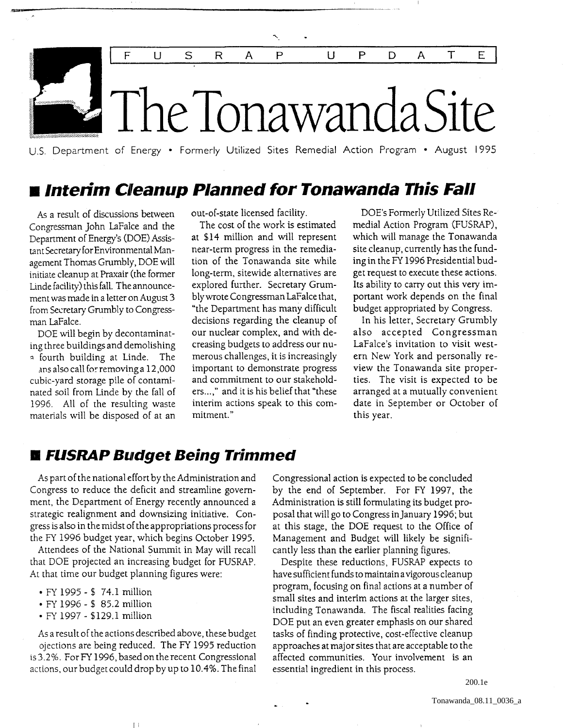

.----------------------------------------------------------------------

u.s. Department of Energy • Formerly Utilized Sites Remedial Action Program • August 1995

## $\blacksquare$  **Interim Cleanup Planned for Tonawanda This Fall**

As a result of discussions between Congressman John laFalce and the Department of Energy's (DOE) Assistant Secretary for Environmental Management Thomas Grumbly, DOE will initiate cleanup at Praxair (the former Linde facility) this fall. The announcement was made in a letter on August 3 from Secretary Grumbly to Congressman laFalce.

DOE will begin by decontaminating three buildings and demolishing a fourth building at Linde. The

ans also call fo: removing a 12,000 cubic-yard storage pile of contaminated soil from Linde by the fall of 1996. All of the resulting waste materials will be disposed of at an out-of-state licensed facility.

The cost of the work is estimated at \$14 million and will represent near-term progress in the remediation of the Tonawanda site while long-term, sitewide alternatives are explored further. Secretary Grumblywrote Congressman laFalce that, "the Department has many difficult decisions regarding the cleanup of our nuclear complex, and with decreasing budgets to address our numerous challenges, it is increasingly important to demonstrate progress and commitment to our stakeholders...," and it is his belief that "these interim actions speak to this commitment."

DOE's Formerly Utilized Sites Remedial Action Program (FUSRAP), which will manage the Tonawanda site cleanup, currently has the funding in the FY 1996 Presidential budget request to execute these actions. Its ability to carry out this very important work depends on the final budget appropriated by Congress.

In his letter, Secretary Grumbly also accepted Congressman laFalce's invitation to visit western New York and personally review the Tonawanda site properties. The visit is expected to be arranged at a mutually convenient date in September or October of this year.

### **• FUSRAP Budget Being Trimmed**

As part of the national effort by the Administration and Congress to reduce the deficit and streamline government, the Department of Energy recently announced a strategic realignment and downsizing initiative. Congress is also in the midst of the appropriations process for the FY 1996 budget year, which begins October 1995.

Attendees of the National Summit in May will recall that DOE projected an increasing budget for FUSRAP. At that time our budget planning figures were:

- FY 1995  $$74.1$  million
- FY 1996 \$ 85.2 mIllion
- FY 1997 \$129.1 million

As a result of the actions described above, these budget ojections are being reduced. The FY 1995 reduction is 3.2%. ForFY 1996, based on the recent Congressional actions, our budget could drop by up to 10.4%. The final

Iii

Congressional action is expected to be concluded by the end of September. For FY 1997, the Administration is still formulating its budget proposal that will go to Congress in January 1996; but at this stage, the DOE request to the Office of Management and Budget will likely be significantly less than the earlier planning figures.

Despite these reductions, FUSRAP expects to have sufficient funds to maintain a vigorous cleanup program, focusing on final actions at a number of small sites and interim actions at the larger sites, including Tonawanda. The fiscal realities facing DOE put an even greater emphasis on our shared tasks of finding protective, cost-effective cleanup approaches at major sites that are acceptable to the affected communities. Your involvement is an essential ingredient in this process.

200.1e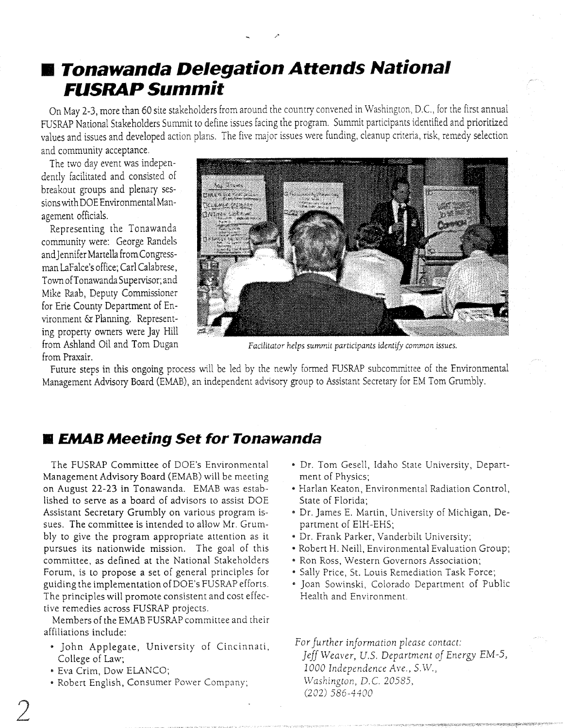# **• Tonawanda Delegation Attends National FUSRAP Summit**

On May 2-3, more than 60 site stakeholders from around the country convened in Washington, D.C., for the first annual FUSRAP National Stakeholders Summit to define issues facing the program. Summit participants identified and prioritized values and issues and developed action plans. The five major issues were funding, cleanup criteria, risk, remedy selection and community acceptance.

The two day event was independently facilitated and consisted of breakout groups and plenary sessions with DOE Environmental Management officials.

Representing the Tonawanda community were: George Randels and Jennifer Martella from Congressman laFalce's office; Carl Calabrese, Town of Tonawanda Supervisor; and Mike Raab, Deputy Commissioner for Erie County Department of Environment &: Planning. Representing property owners were Jay Hill from Praxair.



from Ashland Oil and Tom Dugan *Facilitator helps summit participants identify common issues.* 

Future steps in this ongoing process will be led by the newly formed FUSRAP subcommittee of the Environmental Management Advisory Board (EMAB), an independent advisory group to Assistant Secretary for EM Tom Grumbly .

### **■ EMAB Meeting Set for Tonawanda**

The FUSRAP Committee of DOE's Environmental Management Advisory Board (EMAB) will be meeting on August 22-23 in Tonawanda. EMAB was established to serve as a board of advisors to assist DOE Assistant Secretary Grumbly on various program issues. The committee is intended to allow Mr. Grumbly to give the program appropriate attention as it pursues its nationwide mission. The goal of this committee, as defined at the National Stakeholders Forum, is to propose a set of general principles for guiding the implementation of DOE's FUSRAP efforts. The principles will promote consistent and cost effective remedies across FUSRAP projects.

Members of the EMAB FUSRAP committee and their affiliations include:

- 5 John Applegate, University of Cincinnati, College of Law;
- Eva Crim, Dow ELANCO;
- Robert English, Consumer Power Company;
- Dr. Tom Gesell, Idaho State University, Department of Physics;
- Harlan Keaton, Environmental Radiation Control, State of Florida;
- Dr. James E. Martin, University of Michigan, Department of EIH-EHS;
- Dr. Frank Parker, Vanderbilt University;
- Robert H. Neill, Environmental Evaluation Group;
- Ron Ross, Western Governors Association;
- Sally Price, St. Louis Remediation Task Force;
- Joan Sowinski, Colorado Department of Public Health and Environment.

For further information please contact: *Jeff Weaver, u.s. Department oj Energy EM-5, 1000 Independence Ave., S.\V., Washington,* D. C. 20585, (202) 586-4400

2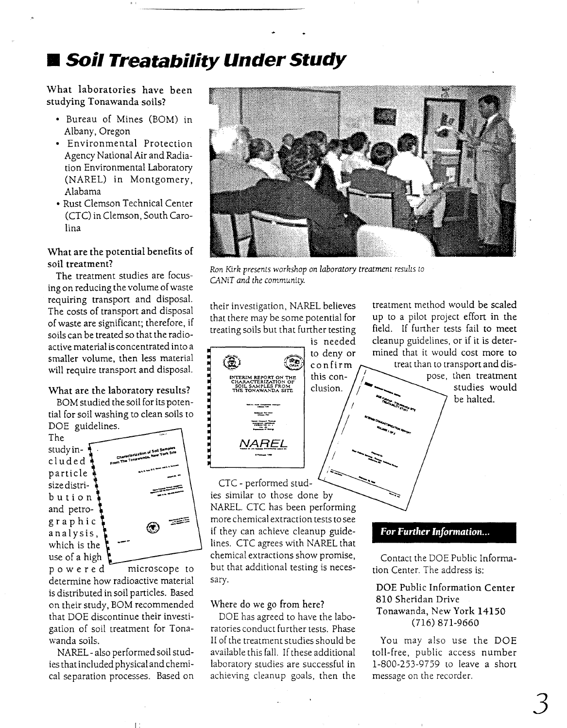# **• Soil Treatability Under Study**

What laboratories have been studying Tonawanda soils?

- Bureau of Mines (BOM) in Albany, Oregon
- Environmental Protection Agency National Air and Radiation Environmental Laboratory (NAREL) in Montgomery, Alabama
- Rust Clemson Technical Center (CTC) in Clemson, South Carolina

#### What are the potential benefits of soil treatment?

The treatment studies are focusing on reducing the volume of waste requiring transport and disposal. The costs of transport and disposal of waste are significant; therefore, if soils can be treated so that the radioactive material is concentrated into a smaller volume, then less material will require transport and disposal.

#### What are the laboratory results?

BOM studied the soil for its potential for soil washing to clean soils to DOE guidelines.

The study in- $\frac{1}{2}$ eluded particle sizedistribution and petrographic analysis, which is the use of a high



powered microscope to determine how radioactive material is distributed in soil particles. Based on their study, BOM recommended that DOE discontinue their investigation of soil treatment for Tonawanda soils.

NAREL - also performed soil studies that included physical and chemical separation processes. Based on

II:



/ ........ , ..........

,":;-......

*Ron Kirh presents worhshop on laboratory treatment results to CANiT and the community.* 

their investigation, NAREL believes that there may be some potential for treating soils but that further testing



treatment method would be scaled up to a pilot project effort in the field. If further tests fail to meet cleanup guidelines, or if it is determined that it would cost more to treat than to transport and dis-

> pose, then treatment studies would be halted.

CTC - performed studies similar to those done by NAREL. CTC has been performing more chemical extraction tests to see if they can achieve cleanup guidelines. CTC agrees with NAREL that chemical extractions show promise, but that additional testing is necessary.

Where do we go from here?

DOE has agreed to have the laboratories conduct further tests. Phase II of the treatment studies should be available this fall. If these additional laboratory studies are successful in achieving cleanup goals, then the

#### *For Further Information...*

Contact the DOE Public Information Center. The address is:

#### DOE Public Information Center 810 Sheridan Drive Tonawanda, New York 14150 (716) 871-9660

You may also use the DOE toll-free, public access number 1-800-253-9759 to leave a shon message on the recorder.

3